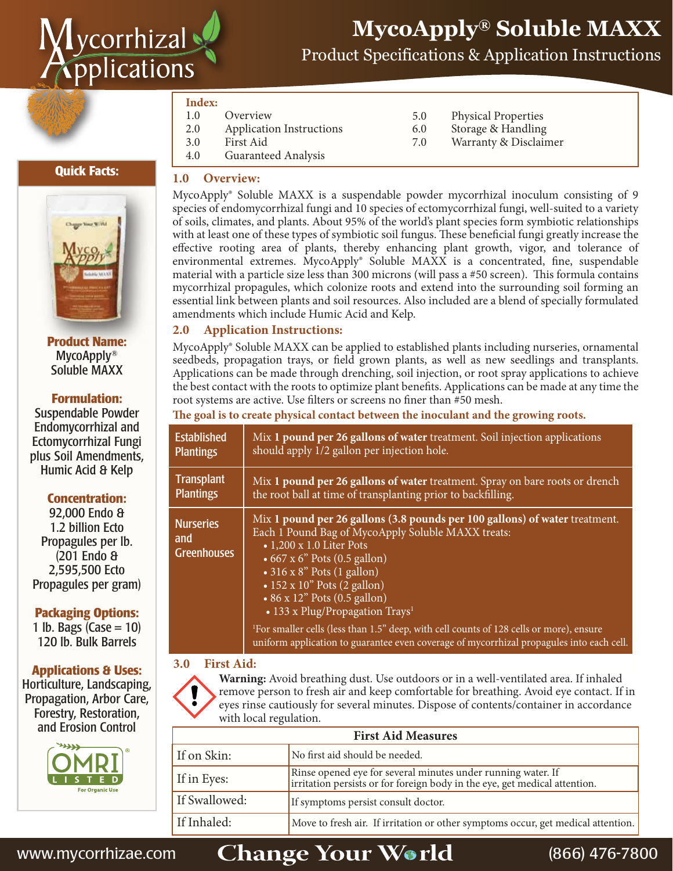

# **MycoApply® Soluble MAXX**

Product Specifications & Application Instructions

#### **Index:**

- 1.0 Overview
- 2.0 Application Instructions 3.0 First Aid
- 5.0 Physical Properties<br>6.0 Storage & Handling
- 6.0 Storage & Handling<br>7.0 Warranty & Disclair
	- Warranty & Disclaimer

4.0 Guaranteed Analysis

#### **Quick Facts:**



**Product Name:** MycoApply® Soluble MAXX

#### **Formulation:**

Suspendable Powder Endomycorrhizal and Ectomycorrhizal Fungi plus Soil Amendments, Humic Acid & Kelp

#### **Concentration:**

92,000 Endo & 1.2 billion Ecto Propagules per lb. (201 Endo & 2,595,500 Ecto Propagules per gram)

#### **Packaging Options:**

1 lb. Bags  $(Case = 10)$ 120 lb. Bulk Barrels

#### **Applications & Uses:**

Horticulture, Landscaping, Propagation, Arbor Care, Forestry, Restoration, and Erosion Control



#### **1.0 Overview:**

MycoApply® Soluble MAXX is a suspendable powder mycorrhizal inoculum consisting of 9 species of endomycorrhizal fungi and 10 species of ectomycorrhizal fungi, well-suited to a variety of soils, climates, and plants. About 95% of the world's plant species form symbiotic relationships with at least one of these types of symbiotic soil fungus. These beneficial fungi greatly increase the effective rooting area of plants, thereby enhancing plant growth, vigor, and tolerance of environmental extremes. MycoApply® Soluble MAXX is a concentrated, fine, suspendable material with a particle size less than 300 microns (will pass a #50 screen). This formula contains mycorrhizal propagules, which colonize roots and extend into the surrounding soil forming an essential link between plants and soil resources. Also included are a blend of specially formulated amendments which include Humic Acid and Kelp.

#### **2.0 Application Instructions:**

MycoApply® Soluble MAXX can be applied to established plants including nurseries, ornamental seedbeds, propagation trays, or field grown plants, as well as new seedlings and transplants. Applications can be made through drenching, soil injection, or root spray applications to achieve the best contact with the roots to optimize plant benefits. Applications can be made at any time the root systems are active. Use filters or screens no finer than #50 mesh.

**e goal is to create physical contact between the inoculant and the growing roots.**

| <b>Established</b>                            | Mix 1 pound per 26 gallons of water treatment. Soil injection applications                                                                                                                                                                                                                                                                                                                                                                                                                                                                                                 |
|-----------------------------------------------|----------------------------------------------------------------------------------------------------------------------------------------------------------------------------------------------------------------------------------------------------------------------------------------------------------------------------------------------------------------------------------------------------------------------------------------------------------------------------------------------------------------------------------------------------------------------------|
| <b>Plantings</b>                              | should apply 1/2 gallon per injection hole.                                                                                                                                                                                                                                                                                                                                                                                                                                                                                                                                |
| <b>Transplant</b>                             | Mix 1 pound per 26 gallons of water treatment. Spray on bare roots or drench                                                                                                                                                                                                                                                                                                                                                                                                                                                                                               |
| <b>Plantings</b>                              | the root ball at time of transplanting prior to backfilling.                                                                                                                                                                                                                                                                                                                                                                                                                                                                                                               |
| <b>Nurseries</b><br>and<br><b>Greenhouses</b> | Mix 1 pound per 26 gallons (3.8 pounds per 100 gallons) of water treatment.<br>Each 1 Pound Bag of MycoApply Soluble MAXX treats:<br>$\bullet$ 1,200 x 1.0 Liter Pots<br>• $667 \times 6$ " Pots (0.5 gallon)<br>$\bullet$ 316 x 8" Pots (1 gallon)<br>$\cdot$ 152 x 10" Pots (2 gallon)<br>• 86 x 12" Pots (0.5 gallon)<br>• 133 x Plug/Propagation Trays <sup>1</sup><br><sup>1</sup> For smaller cells (less than 1.5" deep, with cell counts of 128 cells or more), ensure<br>uniform application to guarantee even coverage of mycorrhizal propagules into each cell. |

#### **3.0 First Aid:**

**Warning:** Avoid breathing dust. Use outdoors or in a well-ventilated area. If inhaled remove person to fresh air and keep comfortable for breathing. Avoid eye contact. If in eyes rinse cautiously for several minutes. Dispose of contents/container in accordance with local regulation.

| <b>First Aid Measures</b> |                                                                                                                                            |  |
|---------------------------|--------------------------------------------------------------------------------------------------------------------------------------------|--|
| If on Skin:               | No first aid should be needed.                                                                                                             |  |
| If in Eyes:               | Rinse opened eye for several minutes under running water. If<br>irritation persists or for foreign body in the eye, get medical attention. |  |
| If Swallowed:             | If symptoms persist consult doctor.                                                                                                        |  |
| If Inhaled:               | Move to fresh air. If irritation or other symptoms occur, get medical attention.                                                           |  |

## www.mycorrhizae.com **Change Your World** (866) 476-7800